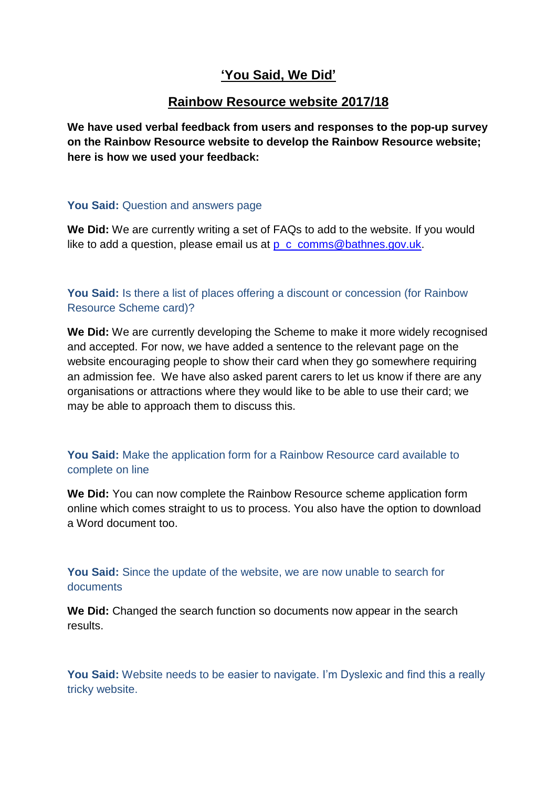## **'You Said, We Did'**

## **Rainbow Resource website 2017/18**

**We have used verbal feedback from users and responses to the pop-up survey on the Rainbow Resource website to develop the Rainbow Resource website; here is how we used your feedback:**

## **You Said:** Question and answers page

**We Did:** We are currently writing a set of FAQs to add to the website. If you would like to add a question, please email us at  $p$  c comms@bathnes.gov.uk.

**You Said:** Is there a list of places offering a discount or concession (for Rainbow Resource Scheme card)?

**We Did:** We are currently developing the Scheme to make it more widely recognised and accepted. For now, we have added a sentence to the relevant page on the website encouraging people to show their card when they go somewhere requiring an admission fee. We have also asked parent carers to let us know if there are any organisations or attractions where they would like to be able to use their card; we may be able to approach them to discuss this.

## **You Said:** Make the application form for a Rainbow Resource card available to complete on line

**We Did:** You can now complete the Rainbow Resource scheme application form online which comes straight to us to process. You also have the option to download a Word document too.

**You Said:** Since the update of the website, we are now unable to search for documents

**We Did:** Changed the search function so documents now appear in the search results.

**You Said:** Website needs to be easier to navigate. I'm Dyslexic and find this a really tricky website.